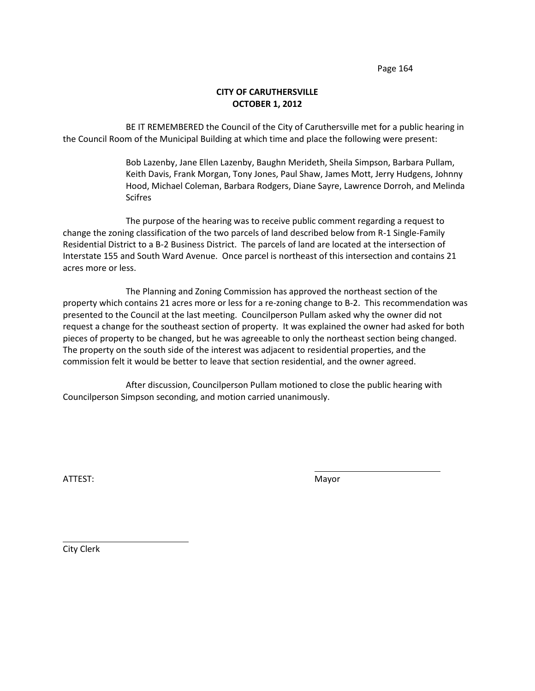# **CITY OF CARUTHERSVILLE OCTOBER 1, 2012**

BE IT REMEMBERED the Council of the City of Caruthersville met for a public hearing in the Council Room of the Municipal Building at which time and place the following were present:

> Bob Lazenby, Jane Ellen Lazenby, Baughn Merideth, Sheila Simpson, Barbara Pullam, Keith Davis, Frank Morgan, Tony Jones, Paul Shaw, James Mott, Jerry Hudgens, Johnny Hood, Michael Coleman, Barbara Rodgers, Diane Sayre, Lawrence Dorroh, and Melinda Scifres

The purpose of the hearing was to receive public comment regarding a request to change the zoning classification of the two parcels of land described below from R-1 Single-Family Residential District to a B-2 Business District. The parcels of land are located at the intersection of Interstate 155 and South Ward Avenue. Once parcel is northeast of this intersection and contains 21 acres more or less.

The Planning and Zoning Commission has approved the northeast section of the property which contains 21 acres more or less for a re-zoning change to B-2. This recommendation was presented to the Council at the last meeting. Councilperson Pullam asked why the owner did not request a change for the southeast section of property. It was explained the owner had asked for both pieces of property to be changed, but he was agreeable to only the northeast section being changed. The property on the south side of the interest was adjacent to residential properties, and the commission felt it would be better to leave that section residential, and the owner agreed.

After discussion, Councilperson Pullam motioned to close the public hearing with Councilperson Simpson seconding, and motion carried unanimously.

ATTEST: We are also assumed to the contract of the Mayor

City Clerk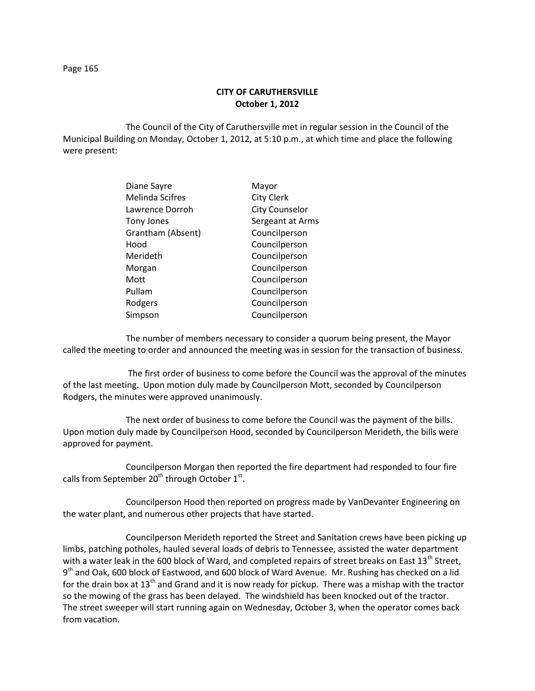**CITY OF CARUTHERSVILLE October 1, 2012**

The Council of the City of Caruthersville met in regular session in the Council of the Municipal Building on Monday, October 1, 2012, at 5:10 p.m., at which time and place the following were present:

| Diane Sayre       | Mayor                 |
|-------------------|-----------------------|
| Melinda Scifres   | <b>City Clerk</b>     |
| Lawrence Dorroh   | <b>City Counselor</b> |
| <b>Tony Jones</b> | Sergeant at Arms      |
| Grantham (Absent) | Councilperson         |
| Hood              | Councilperson         |
| Merideth          | Councilperson         |
| Morgan            | Councilperson         |
| Mott              | Councilperson         |
| Pullam            | Councilperson         |
| Rodgers           | Councilperson         |
| Simpson           | Councilperson         |

The number of members necessary to consider a quorum being present, the Mayor called the meeting to order and announced the meeting was in session for the transaction of business.

The first order of business to come before the Council was the approval of the minutes of the last meeting. Upon motion duly made by Councilperson Mott, seconded by Councilperson Rodgers, the minutes were approved unanimously.

The next order of business to come before the Council was the payment of the bills. Upon motion duly made by Councilperson Hood, seconded by Councilperson Merideth, the bills were approved for payment.

Councilperson Morgan then reported the fire department had responded to four fire calls from September 20<sup>th</sup> through October 1<sup>st</sup>.

Councilperson Hood then reported on progress made by VanDevanter Engineering on the water plant, and numerous other projects that have started.

Councilperson Merideth reported the Street and Sanitation crews have been picking up limbs, patching potholes, hauled several loads of debris to Tennessee, assisted the water department with a water leak in the 600 block of Ward, and completed repairs of street breaks on East 13<sup>th</sup> Street, 9<sup>th</sup> and Oak, 600 block of Eastwood, and 600 block of Ward Avenue. Mr. Rushing has checked on a lid for the drain box at  $13<sup>th</sup>$  and Grand and it is now ready for pickup. There was a mishap with the tractor so the mowing of the grass has been delayed. The windshield has been knocked out of the tractor. The street sweeper will start running again on Wednesday, October 3, when the operator comes back from vacation.

Page 165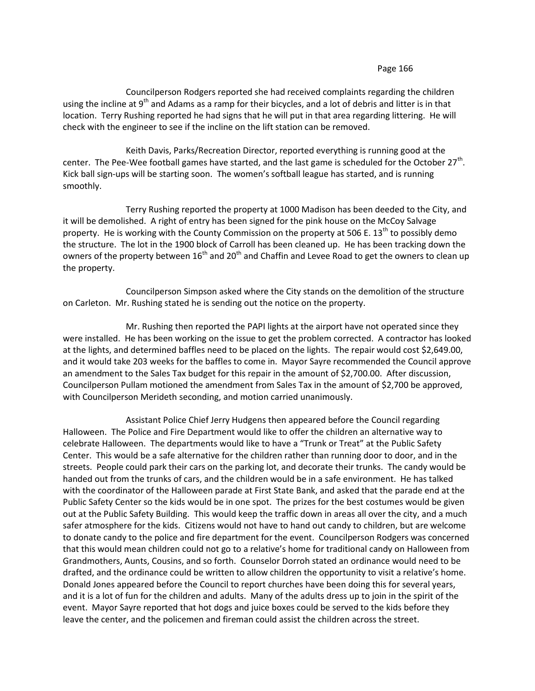Councilperson Rodgers reported she had received complaints regarding the children using the incline at 9<sup>th</sup> and Adams as a ramp for their bicycles, and a lot of debris and litter is in that location. Terry Rushing reported he had signs that he will put in that area regarding littering. He will check with the engineer to see if the incline on the lift station can be removed.

Keith Davis, Parks/Recreation Director, reported everything is running good at the center. The Pee-Wee football games have started, and the last game is scheduled for the October 27<sup>th</sup>. Kick ball sign-ups will be starting soon. The women's softball league has started, and is running smoothly.

Terry Rushing reported the property at 1000 Madison has been deeded to the City, and it will be demolished. A right of entry has been signed for the pink house on the McCoy Salvage property. He is working with the County Commission on the property at 506 E. 13<sup>th</sup> to possibly demo the structure. The lot in the 1900 block of Carroll has been cleaned up. He has been tracking down the owners of the property between  $16<sup>th</sup>$  and  $20<sup>th</sup>$  and Chaffin and Levee Road to get the owners to clean up the property.

Councilperson Simpson asked where the City stands on the demolition of the structure on Carleton. Mr. Rushing stated he is sending out the notice on the property.

Mr. Rushing then reported the PAPI lights at the airport have not operated since they were installed. He has been working on the issue to get the problem corrected. A contractor has looked at the lights, and determined baffles need to be placed on the lights. The repair would cost \$2,649.00, and it would take 203 weeks for the baffles to come in. Mayor Sayre recommended the Council approve an amendment to the Sales Tax budget for this repair in the amount of \$2,700.00. After discussion, Councilperson Pullam motioned the amendment from Sales Tax in the amount of \$2,700 be approved, with Councilperson Merideth seconding, and motion carried unanimously.

Assistant Police Chief Jerry Hudgens then appeared before the Council regarding Halloween. The Police and Fire Department would like to offer the children an alternative way to celebrate Halloween. The departments would like to have a "Trunk or Treat" at the Public Safety Center. This would be a safe alternative for the children rather than running door to door, and in the streets. People could park their cars on the parking lot, and decorate their trunks. The candy would be handed out from the trunks of cars, and the children would be in a safe environment. He has talked with the coordinator of the Halloween parade at First State Bank, and asked that the parade end at the Public Safety Center so the kids would be in one spot. The prizes for the best costumes would be given out at the Public Safety Building. This would keep the traffic down in areas all over the city, and a much safer atmosphere for the kids. Citizens would not have to hand out candy to children, but are welcome to donate candy to the police and fire department for the event. Councilperson Rodgers was concerned that this would mean children could not go to a relative's home for traditional candy on Halloween from Grandmothers, Aunts, Cousins, and so forth. Counselor Dorroh stated an ordinance would need to be drafted, and the ordinance could be written to allow children the opportunity to visit a relative's home. Donald Jones appeared before the Council to report churches have been doing this for several years, and it is a lot of fun for the children and adults. Many of the adults dress up to join in the spirit of the event. Mayor Sayre reported that hot dogs and juice boxes could be served to the kids before they leave the center, and the policemen and fireman could assist the children across the street.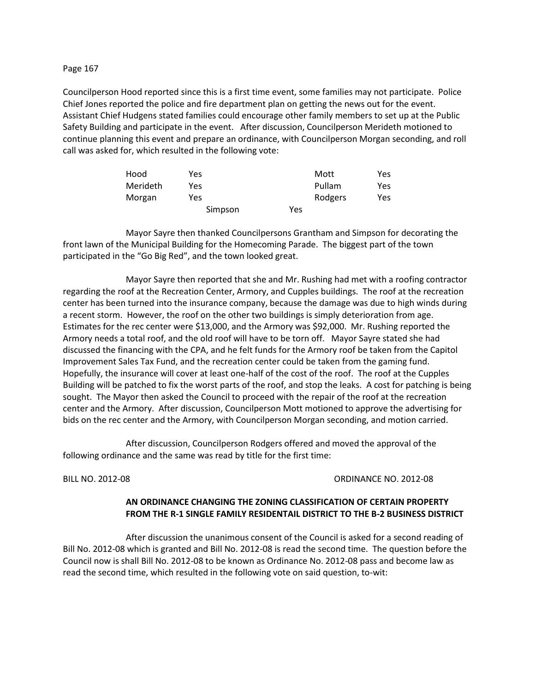Councilperson Hood reported since this is a first time event, some families may not participate. Police Chief Jones reported the police and fire department plan on getting the news out for the event. Assistant Chief Hudgens stated families could encourage other family members to set up at the Public Safety Building and participate in the event. After discussion, Councilperson Merideth motioned to continue planning this event and prepare an ordinance, with Councilperson Morgan seconding, and roll call was asked for, which resulted in the following vote:

| Hood     | Yes     |     | Mott    | Yes |
|----------|---------|-----|---------|-----|
| Merideth | Yes     |     | Pullam  | Yes |
| Morgan   | Yes     |     | Rodgers | Yes |
|          | Simpson | Yes |         |     |

Mayor Sayre then thanked Councilpersons Grantham and Simpson for decorating the front lawn of the Municipal Building for the Homecoming Parade. The biggest part of the town participated in the "Go Big Red", and the town looked great.

Mayor Sayre then reported that she and Mr. Rushing had met with a roofing contractor regarding the roof at the Recreation Center, Armory, and Cupples buildings. The roof at the recreation center has been turned into the insurance company, because the damage was due to high winds during a recent storm. However, the roof on the other two buildings is simply deterioration from age. Estimates for the rec center were \$13,000, and the Armory was \$92,000. Mr. Rushing reported the Armory needs a total roof, and the old roof will have to be torn off. Mayor Sayre stated she had discussed the financing with the CPA, and he felt funds for the Armory roof be taken from the Capitol Improvement Sales Tax Fund, and the recreation center could be taken from the gaming fund. Hopefully, the insurance will cover at least one-half of the cost of the roof. The roof at the Cupples Building will be patched to fix the worst parts of the roof, and stop the leaks. A cost for patching is being sought. The Mayor then asked the Council to proceed with the repair of the roof at the recreation center and the Armory. After discussion, Councilperson Mott motioned to approve the advertising for bids on the rec center and the Armory, with Councilperson Morgan seconding, and motion carried.

After discussion, Councilperson Rodgers offered and moved the approval of the following ordinance and the same was read by title for the first time:

## BILL NO. 2012-08 ORDINANCE NO. 2012-08

# **AN ORDINANCE CHANGING THE ZONING CLASSIFICATION OF CERTAIN PROPERTY FROM THE R-1 SINGLE FAMILY RESIDENTAIL DISTRICT TO THE B-2 BUSINESS DISTRICT**

After discussion the unanimous consent of the Council is asked for a second reading of Bill No. 2012-08 which is granted and Bill No. 2012-08 is read the second time. The question before the Council now is shall Bill No. 2012-08 to be known as Ordinance No. 2012-08 pass and become law as read the second time, which resulted in the following vote on said question, to-wit: